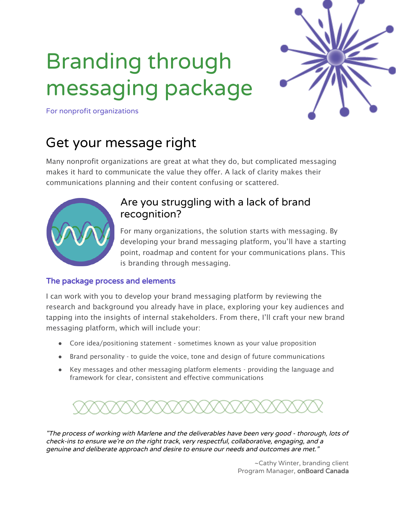# Branding through messaging package



For nonprofit organizations

# Get your message right

Many nonprofit organizations are great at what they do, but complicated messaging makes it hard to communicate the value they offer. A lack of clarity makes their communications planning and their content confusing or scattered.



# Are you struggling with a lack of brand recognition?

For many organizations, the solution starts with messaging. By developing your brand messaging platform, you'll have a starting point, roadmap and content for your communications plans. This is branding through messaging.

#### The package process and elements

I can work with you to develop your brand messaging platform by reviewing the research and background you already have in place, exploring your key audiences and tapping into the insights of internal stakeholders. From there, I'll craft your new brand messaging platform, which will include your:

- Core idea/positioning statement sometimes known as your value proposition
- Brand personality to guide the voice, tone and design of future communications
- Key messages and other messaging platform elements providing the language and framework for clear, consistent and effective communications



"The process of working with Marlene and the deliverables have been very good - thorough, lots of check-ins to ensure we're on the right track, very respectful, collaborative, engaging, and <sup>a</sup> genuine and deliberate approach and desire to ensure our needs and outcomes are met."

> ~Cathy Winter, branding client Program Manager, onBoard Canada